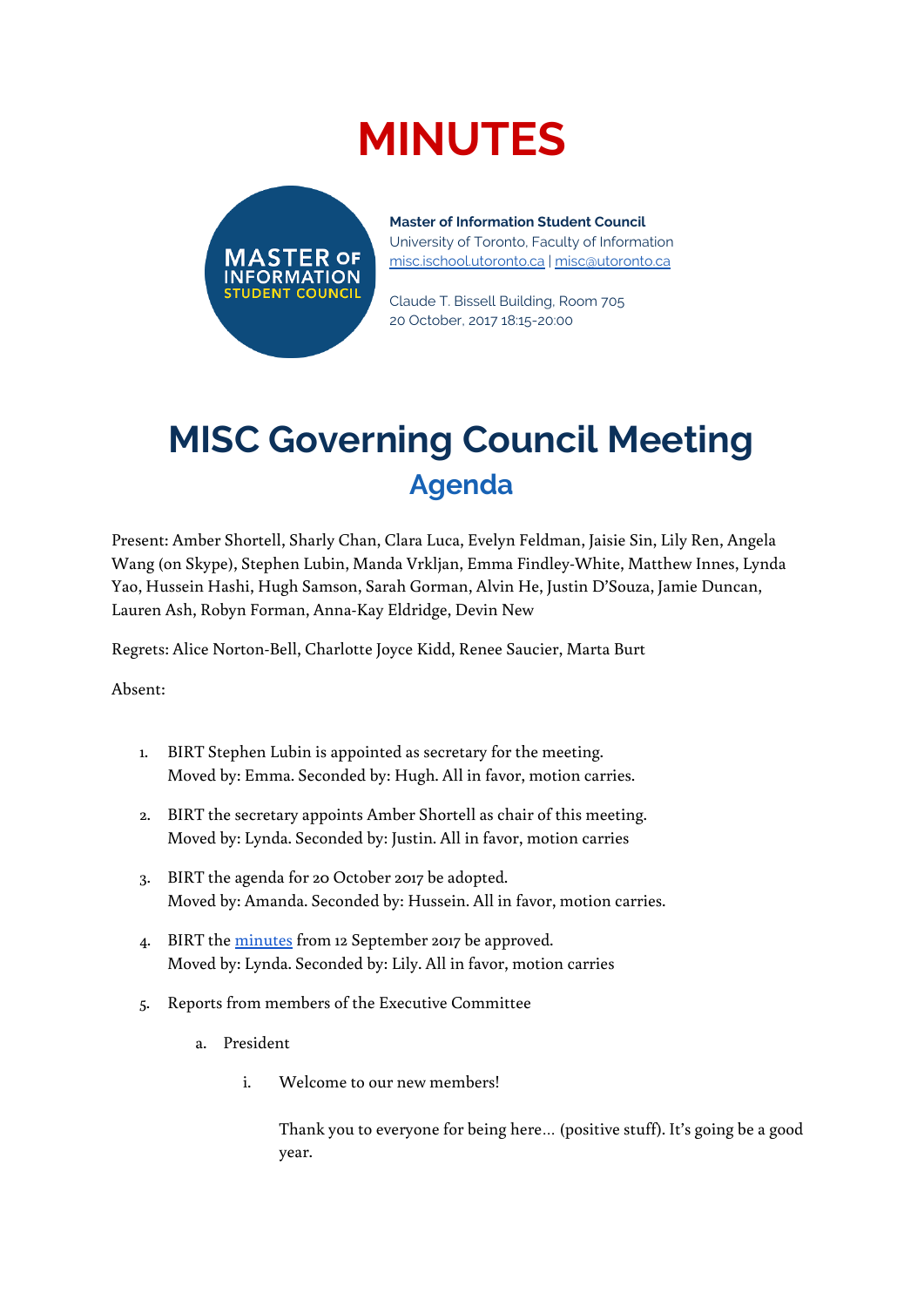# **MINUTES**



**Master of Information Student Council** University of Toronto, Faculty of Information [misc.ischool.utoronto.ca](http://misc.ischool.utoronto.ca/) | [misc@utoronto.ca](mailto:misc@utoronto.ca)

Claude T. Bissell Building, Room 705 20 October, 2017 18:15-20:00

# **MISC Governing Council Meeting Agenda**

Present: Amber Shortell, Sharly Chan, Clara Luca, Evelyn Feldman, Jaisie Sin, Lily Ren, Angela Wang (on Skype), Stephen Lubin, Manda Vrkljan, Emma Findley-White, Matthew Innes, Lynda Yao, Hussein Hashi, Hugh Samson, Sarah Gorman, Alvin He, Justin D'Souza, Jamie Duncan, Lauren Ash, Robyn Forman, Anna-Kay Eldridge, Devin New

Regrets: Alice Norton-Bell, Charlotte Joyce Kidd, Renee Saucier, Marta Burt

Absent:

- 1. BIRT Stephen Lubin is appointed as secretary for the meeting. Moved by: Emma. Seconded by: Hugh. All in favor, motion carries.
- 2. BIRT the secretary appoints Amber Shortell as chair of this meeting. Moved by: Lynda. Seconded by: Justin. All in favor, motion carries
- 3. BIRT the agenda for 20 October 2017 be adopted. Moved by: Amanda. Seconded by: Hussein. All in favor, motion carries.
- 4. BIRT the [minutes](https://docs.google.com/document/d/163RrRC4gi3c-ilRFyp3YHgdj4SqWJjol9-ySk88KCfY/edit) from 12 September 2017 be approved. Moved by: Lynda. Seconded by: Lily. All in favor, motion carries
- 5. Reports from members of the Executive Committee
	- a. President
		- i. Welcome to our new members!

Thank you to everyone for being here… (positive stuff). It's going be a good year.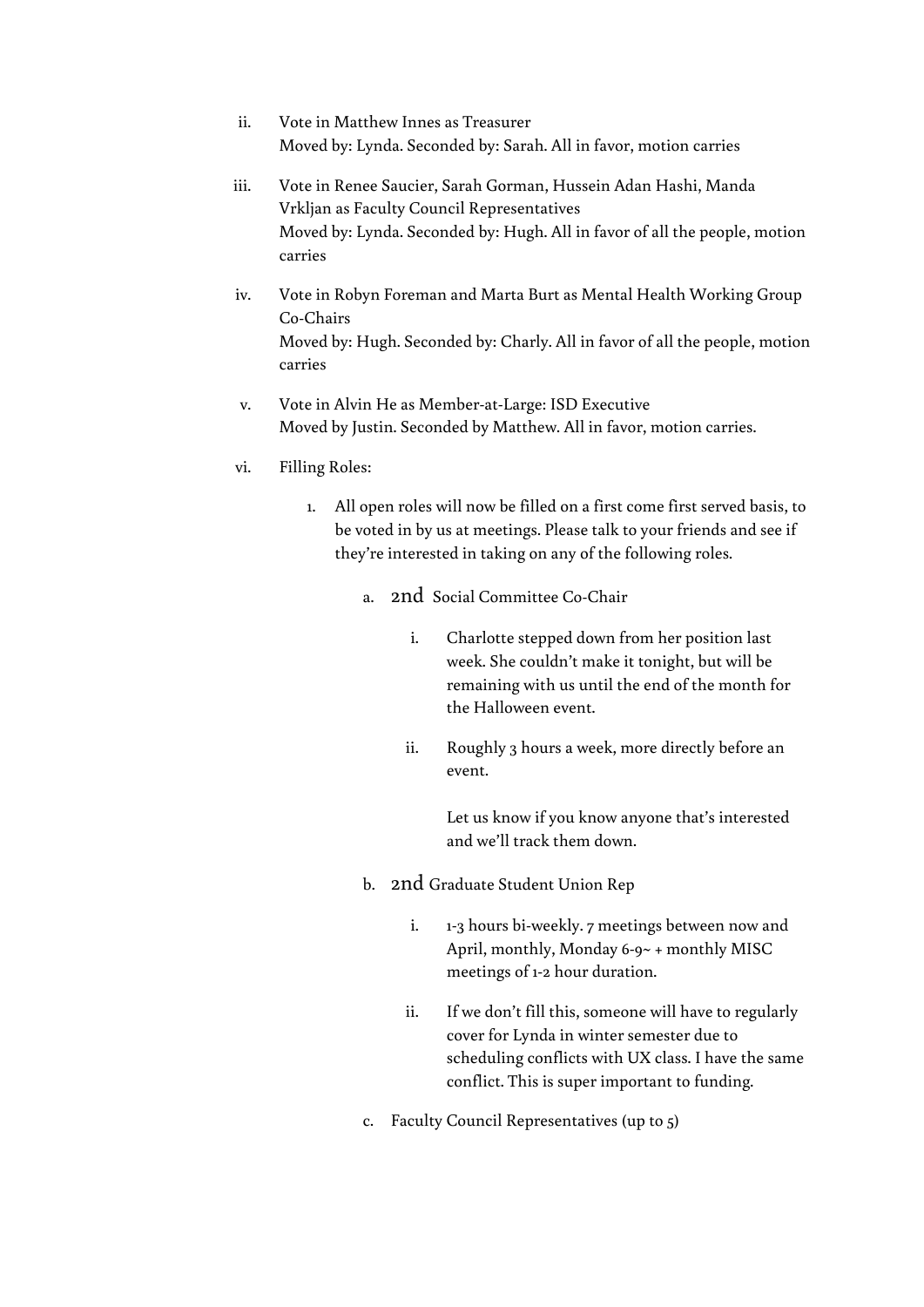- ii. Vote in Matthew Innes as Treasurer Moved by: Lynda. Seconded by: Sarah. All in favor, motion carries
- iii. Vote in Renee Saucier, Sarah Gorman, Hussein Adan Hashi, Manda Vrkljan as Faculty Council Representatives Moved by: Lynda. Seconded by: Hugh. All in favor of all the people, motion carries
- iv. Vote in Robyn Foreman and Marta Burt as Mental Health Working Group Co-Chairs Moved by: Hugh. Seconded by: Charly. All in favor of all the people, motion carries
- v. Vote in Alvin He as Member-at-Large: ISD Executive Moved by Justin. Seconded by Matthew. All in favor, motion carries.
- vi. Filling Roles:
	- 1. All open roles will now be filled on a first come first served basis, to be voted in by us at meetings. Please talk to your friends and see if they're interested in taking on any of the following roles.
		- a. 2nd Social Committee Co-Chair
			- i. Charlotte stepped down from her position last week. She couldn't make it tonight, but will be remaining with us until the end of the month for the Halloween event.
			- ii. Roughly 3 hours a week, more directly before an event.

Let us know if you know anyone that's interested and we'll track them down.

- b. 2nd Graduate Student Union Rep
	- i. 1-3 hours bi-weekly. 7 meetings between now and April, monthly, Monday 6-9~ + monthly MISC meetings of 1-2 hour duration.
	- ii. If we don't fill this, someone will have to regularly cover for Lynda in winter semester due to scheduling conflicts with UX class. I have the same conflict. This is super important to funding.
- c. Faculty Council Representatives (up to 5)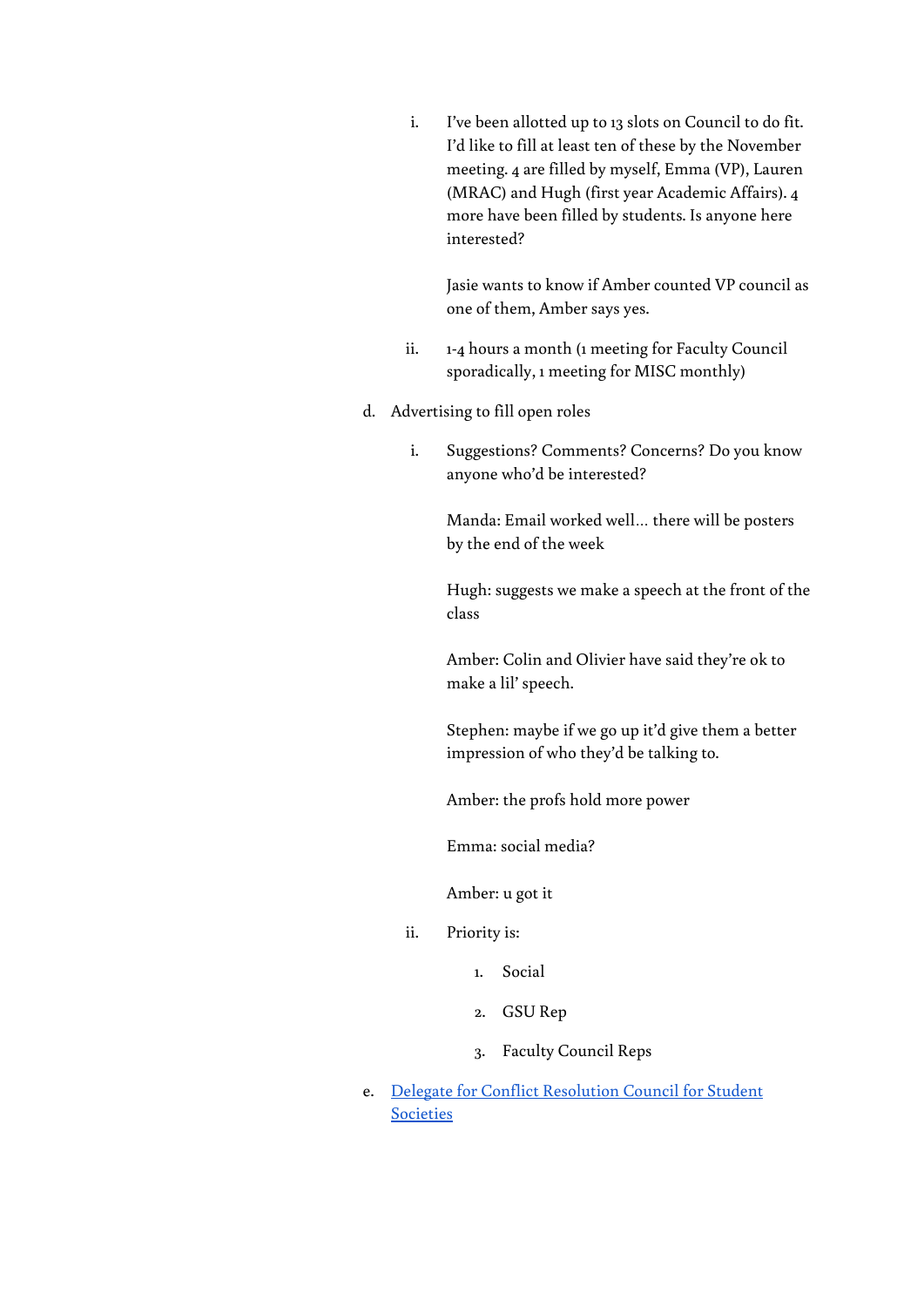i. I've been allotted up to 13 slots on Council to do fit. I'd like to fill at least ten of these by the November meeting. 4 are filled by myself, Emma (VP), Lauren (MRAC) and Hugh (first year Academic Affairs). 4 more have been filled by students. Is anyone here interested?

Jasie wants to know if Amber counted VP council as one of them, Amber says yes.

- ii. 1-4 hours a month (1 meeting for Faculty Council sporadically, 1 meeting for MISC monthly)
- d. Advertising to fill open roles
	- i. Suggestions? Comments? Concerns? Do you know anyone who'd be interested?

Manda: Email worked well… there will be posters by the end of the week

Hugh: suggests we make a speech at the front of the class

Amber: Colin and Olivier have said they're ok to make a lil' speech.

Stephen: maybe if we go up it'd give them a better impression of who they'd be talking to.

Amber: the profs hold more power

Emma: social media?

Amber: u got it

- ii. Priority is:
	- 1. Social
	- 2. GSU Rep
	- 3. Faculty Council Reps
- e. Delegate for Conflict [Resolution](https://drive.google.com/drive/folders/0B19I8tTQ7CTsaWh4NHBZLXZZYm8) Council for Student **[Societies](https://drive.google.com/drive/folders/0B19I8tTQ7CTsaWh4NHBZLXZZYm8)**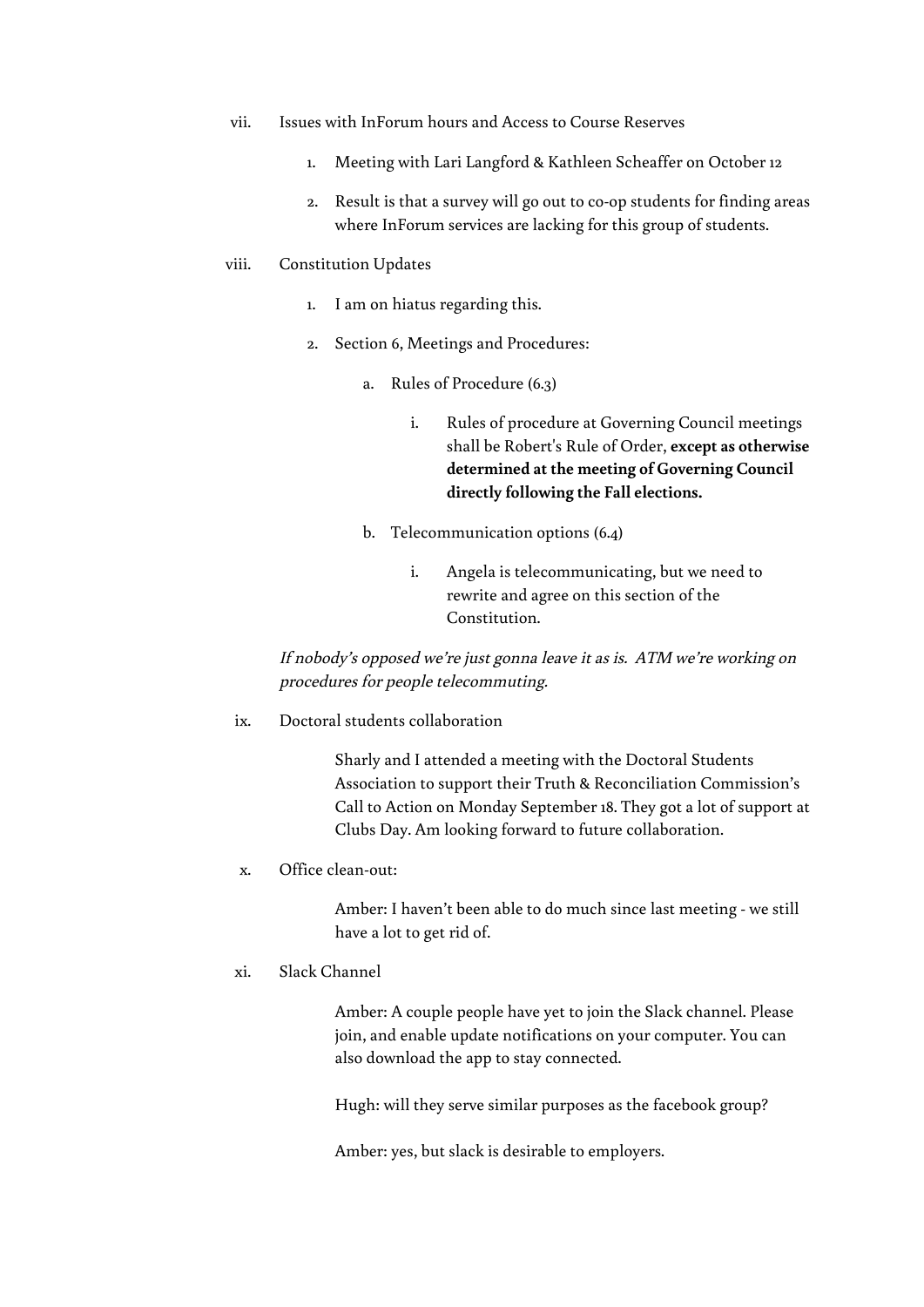- vii. Issues with InForum hours and Access to Course Reserves
	- 1. Meeting with Lari Langford & Kathleen Scheaffer on October 12
	- 2. Result is that a survey will go out to co-op students for finding areas where InForum services are lacking for this group of students.

### viii. Constitution Updates

- 1. I am on hiatus regarding this.
- 2. Section 6, Meetings and Procedures:
	- a. Rules of Procedure (6.3)
		- i. Rules of procedure at Governing Council meetings shall be Robert's Rule of Order, **except as otherwise determined at the meeting of Governing Council directly following the Fall elections.**
	- b. Telecommunication options (6.4)
		- i. Angela is telecommunicating, but we need to rewrite and agree on this section of the Constitution.

If nobody's opposed we're just gonna leave it as is. ATM we're working on procedures for people telecommuting.

ix. Doctoral students collaboration

Sharly and I attended a meeting with the Doctoral Students Association to support their Truth & Reconciliation Commission's Call to Action on Monday September 18. They got a lot of support at Clubs Day. Am looking forward to future collaboration.

x. Office clean-out:

Amber: I haven't been able to do much since last meeting - we still have a lot to get rid of.

xi. Slack Channel

Amber: A couple people have yet to join the Slack channel. Please join, and enable update notifications on your computer. You can also download the app to stay connected.

Hugh: will they serve similar purposes as the facebook group?

Amber: yes, but slack is desirable to employers.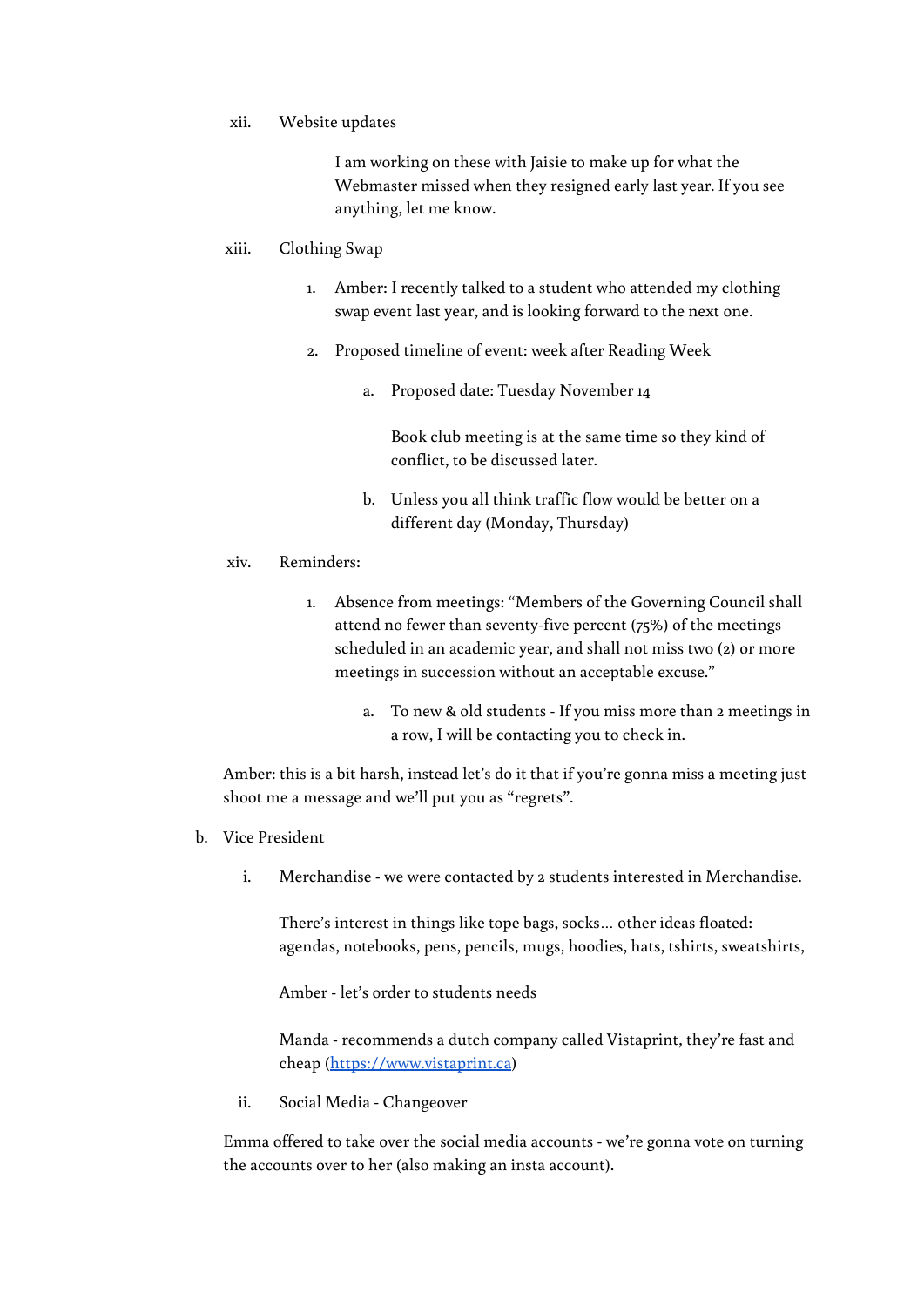xii. Website updates

I am working on these with Jaisie to make up for what the Webmaster missed when they resigned early last year. If you see anything, let me know.

# xiii. Clothing Swap

- 1. Amber: I recently talked to a student who attended my clothing swap event last year, and is looking forward to the next one.
- 2. Proposed timeline of event: week after Reading Week
	- a. Proposed date: Tuesday November 14

Book club meeting is at the same time so they kind of conflict, to be discussed later.

b. Unless you all think traffic flow would be better on a different day (Monday, Thursday)

# xiv. Reminders:

- 1. Absence from meetings: "Members of the Governing Council shall attend no fewer than seventy-five percent (75%) of the meetings scheduled in an academic year, and shall not miss two (2) or more meetings in succession without an acceptable excuse."
	- a. To new & old students If you miss more than 2 meetings in a row, I will be contacting you to check in.

Amber: this is a bit harsh, instead let's do it that if you're gonna miss a meeting just shoot me a message and we'll put you as "regrets".

- b. Vice President
	- i. Merchandise we were contacted by 2 students interested in Merchandise.

There's interest in things like tope bags, socks… other ideas floated: agendas, notebooks, pens, pencils, mugs, hoodies, hats, tshirts, sweatshirts,

Amber - let's order to students needs

Manda - recommends a dutch company called Vistaprint, they're fast and cheap ([https://www.vistaprint.ca](https://www.vistaprint.ca/))

ii. Social Media - Changeover

Emma offered to take over the social media accounts - we're gonna vote on turning the accounts over to her (also making an insta account).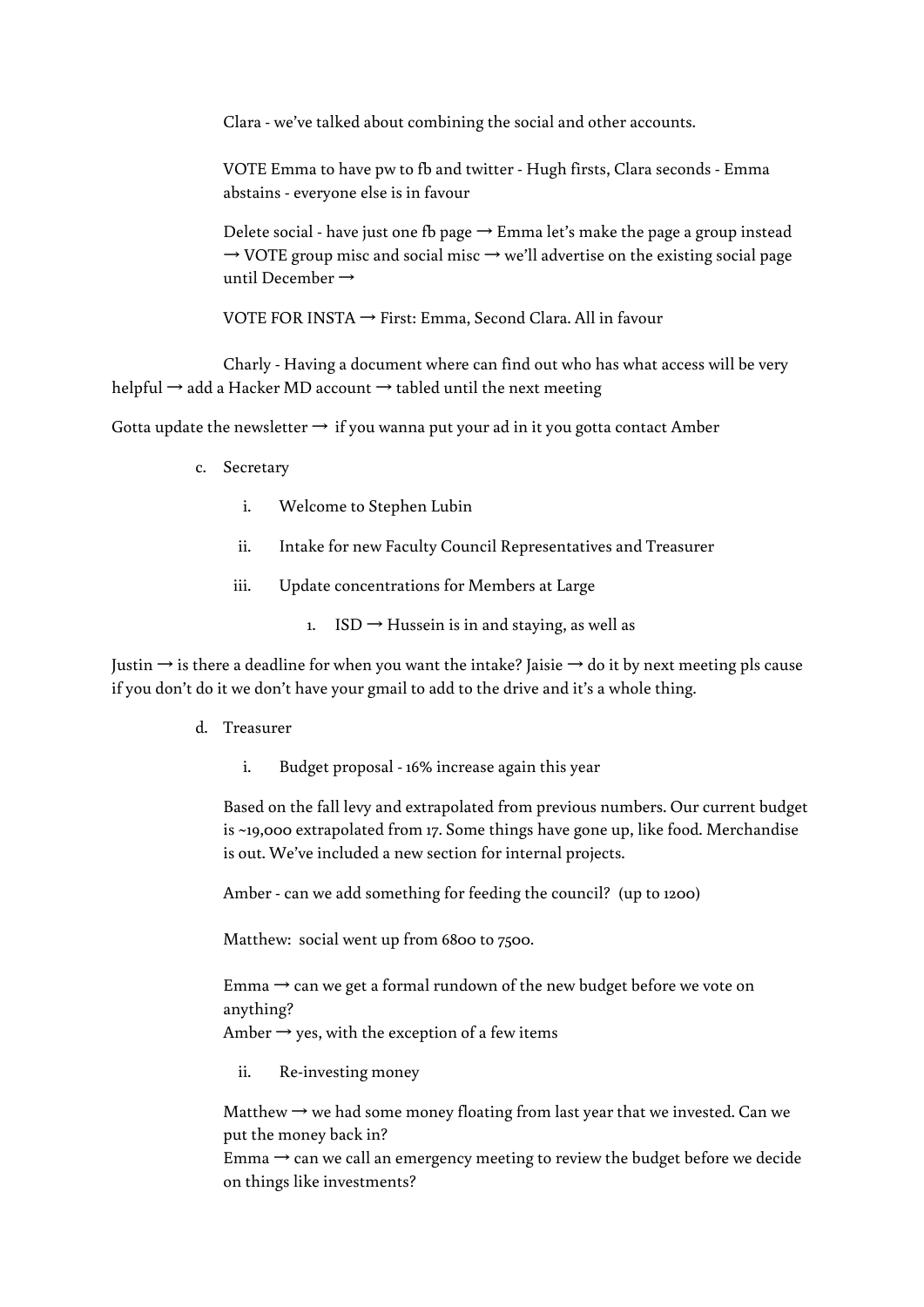Clara - we've talked about combining the social and other accounts.

VOTE Emma to have pw to fb and twitter - Hugh firsts, Clara seconds - Emma abstains - everyone else is in favour

Delete social - have just one fb page  $\rightarrow$  Emma let's make the page a group instead  $\rightarrow$  VOTE group misc and social misc  $\rightarrow$  we'll advertise on the existing social page until December →

VOTE FOR INSTA → First: Emma, Second Clara. All in favour

Charly - Having a document where can find out who has what access will be very helpful  $\rightarrow$  add a Hacker MD account  $\rightarrow$  tabled until the next meeting

Gotta update the newsletter  $\rightarrow$  if you wanna put your ad in it you gotta contact Amber

- c. Secretary
	- i. Welcome to Stephen Lubin
	- ii. Intake for new Faculty Council Representatives and Treasurer
	- iii. Update concentrations for Members at Large
		- 1. ISD  $\rightarrow$  Hussein is in and staying, as well as

Justin  $\rightarrow$  is there a deadline for when you want the intake? Jaisie  $\rightarrow$  do it by next meeting pls cause if you don't do it we don't have your gmail to add to the drive and it's a whole thing.

- d. Treasurer
	- i. Budget proposal 16% increase again this year

Based on the fall levy and extrapolated from previous numbers. Our current budget is ~19,000 extrapolated from 17. Some things have gone up, like food. Merchandise is out. We've included a new section for internal projects.

Amber - can we add something for feeding the council? (up to 1200)

Matthew: social went up from 6800 to 7500.

Emma  $\rightarrow$  can we get a formal rundown of the new budget before we vote on anything? Amber  $\rightarrow$  yes, with the exception of a few items

ii. Re-investing money

Matthew  $\rightarrow$  we had some money floating from last year that we invested. Can we put the money back in?

Emma  $\rightarrow$  can we call an emergency meeting to review the budget before we decide on things like investments?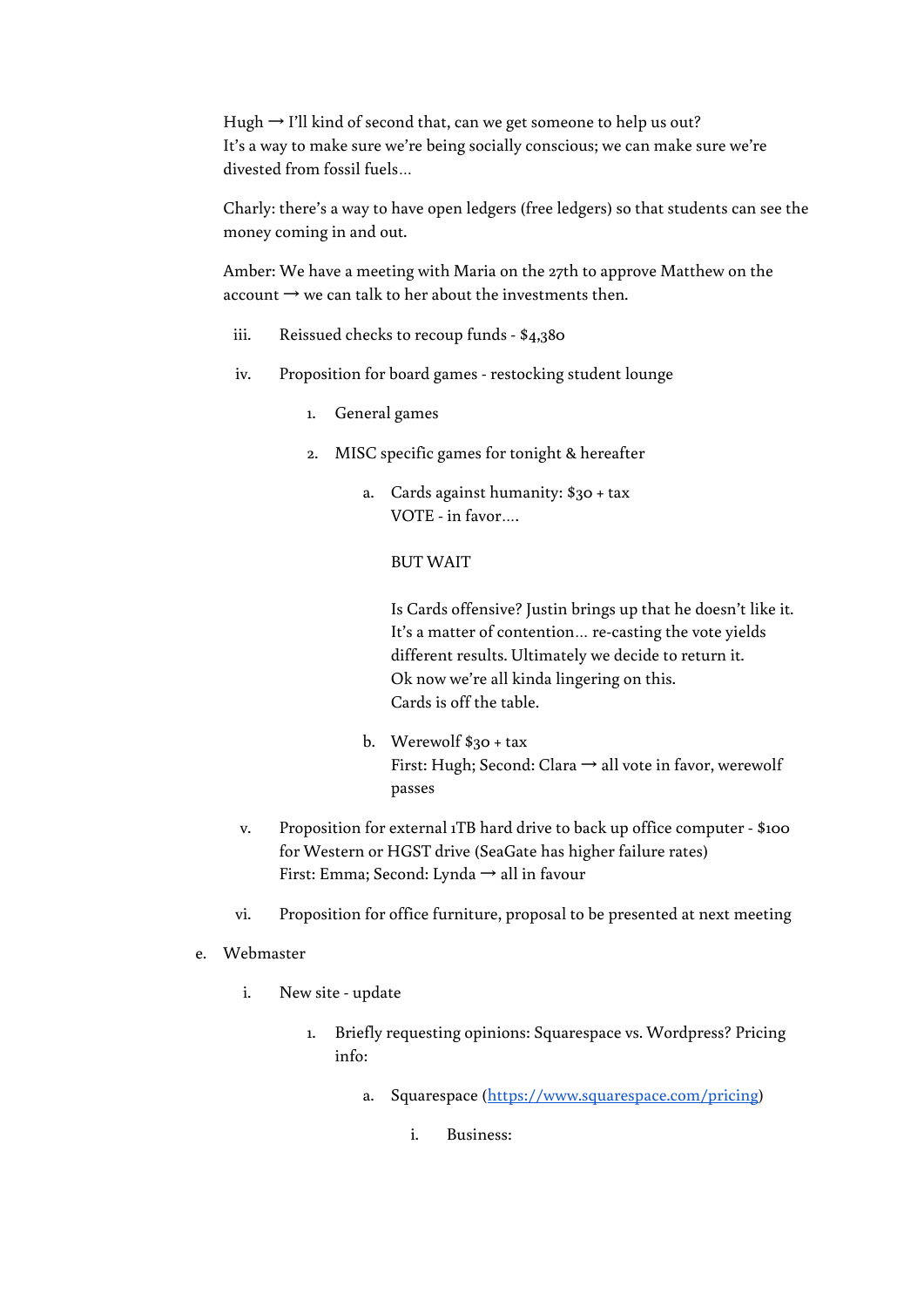Hugh → I'll kind of second that, can we get someone to help us out? It's a way to make sure we're being socially conscious; we can make sure we're divested from fossil fuels…

Charly: there's a way to have open ledgers (free ledgers) so that students can see the money coming in and out.

Amber: We have a meeting with Maria on the 27th to approve Matthew on the account  $\rightarrow$  we can talk to her about the investments then.

- iii. Reissued checks to recoup funds \$4,380
- iv. Proposition for board games restocking student lounge
	- 1. General games
	- 2. MISC specific games for tonight & hereafter
		- a. Cards against humanity: \$30 + tax VOTE - in favor….

# BUT WAIT

Is Cards offensive? Justin brings up that he doesn't like it. It's a matter of contention… re-casting the vote yields different results. Ultimately we decide to return it. Ok now we're all kinda lingering on this. Cards is off the table.

- b. Werewolf \$30 + tax First: Hugh; Second: Clara → all vote in favor, werewolf passes
- v. Proposition for external 1TB hard drive to back up office computer \$100 for Western or HGST drive (SeaGate has higher failure rates) First: Emma; Second: Lynda → all in favour
- vi. Proposition for office furniture, proposal to be presented at next meeting
- e. Webmaster
	- i. New site update
		- 1. Briefly requesting opinions: Squarespace vs. Wordpress? Pricing info:
			- a. Squarespace (<https://www.squarespace.com/pricing>)
				- i. Business: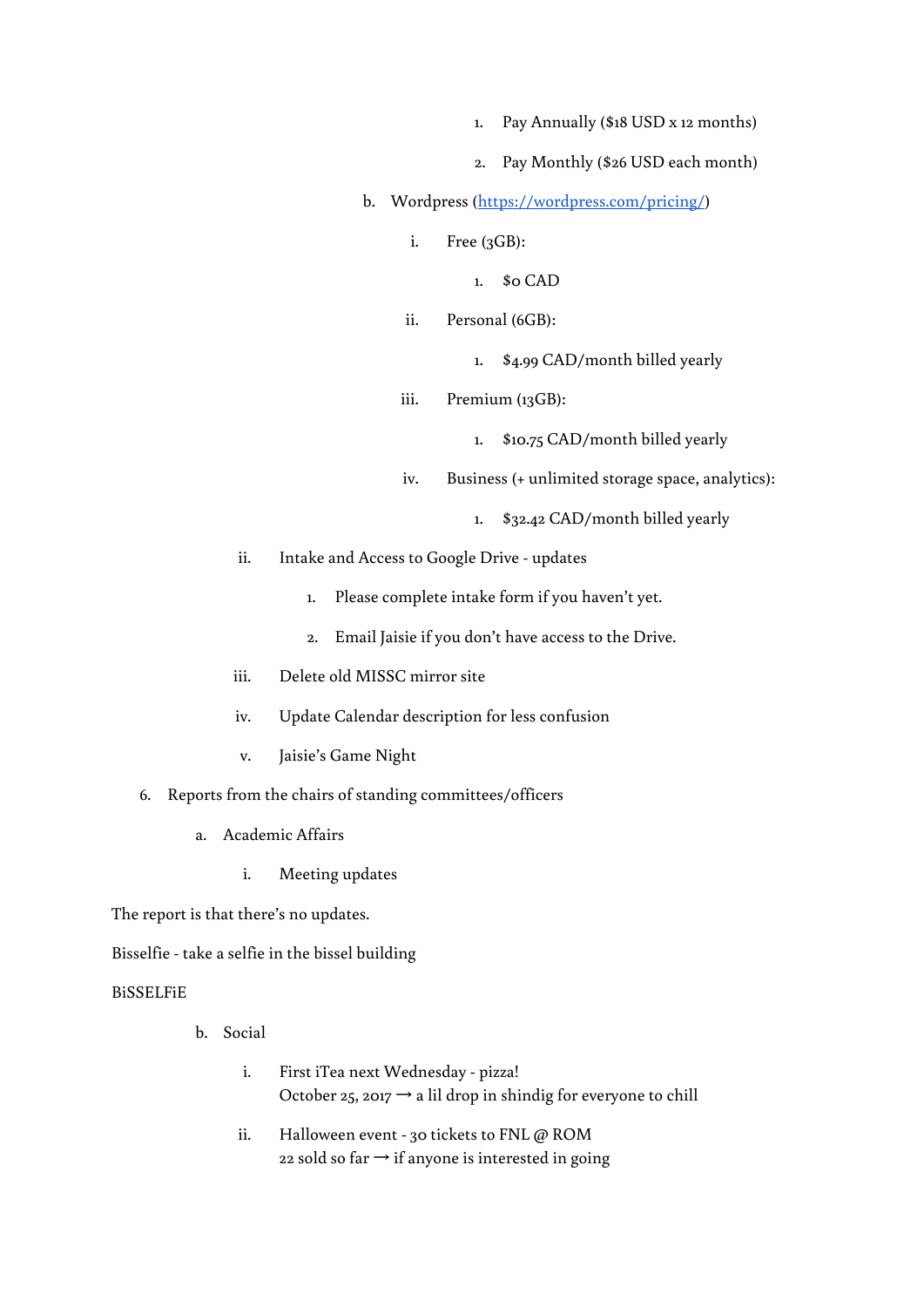- 1. Pay Annually (\$18 USD x 12 months)
- 2. Pay Monthly (\$26 USD each month)
- b. Wordpress ([https://wordpress.com/pricing/\)](https://wordpress.com/pricing/)
	- i. Free (3GB):
		- 1. \$0 CAD
	- ii. Personal (6GB):
		- 1. \$4.99 CAD/month billed yearly
	- iii. Premium (13GB):
		- 1. \$10.75 CAD/month billed yearly
	- iv. Business (+ unlimited storage space, analytics):
		- 1. \$32.42 CAD/month billed yearly
- ii. Intake and Access to Google Drive updates
	- 1. Please complete intake form if you haven't yet.
	- 2. Email Jaisie if you don't have access to the Drive.
- iii. Delete old MISSC mirror site
- iv. Update Calendar description for less confusion
- v. Jaisie's Game Night
- 6. Reports from the chairs of standing committees/officers
	- a. Academic Affairs
		- i. Meeting updates

The report is that there's no updates.

Bisselfie - take a selfie in the bissel building

# BiSSELFiE

- b. Social
	- i. First iTea next Wednesday pizza! October 25, 2017  $\rightarrow$  a lil drop in shindig for everyone to chill
	- ii. Halloween event 30 tickets to FNL @ ROM 22 sold so far  $\rightarrow$  if anyone is interested in going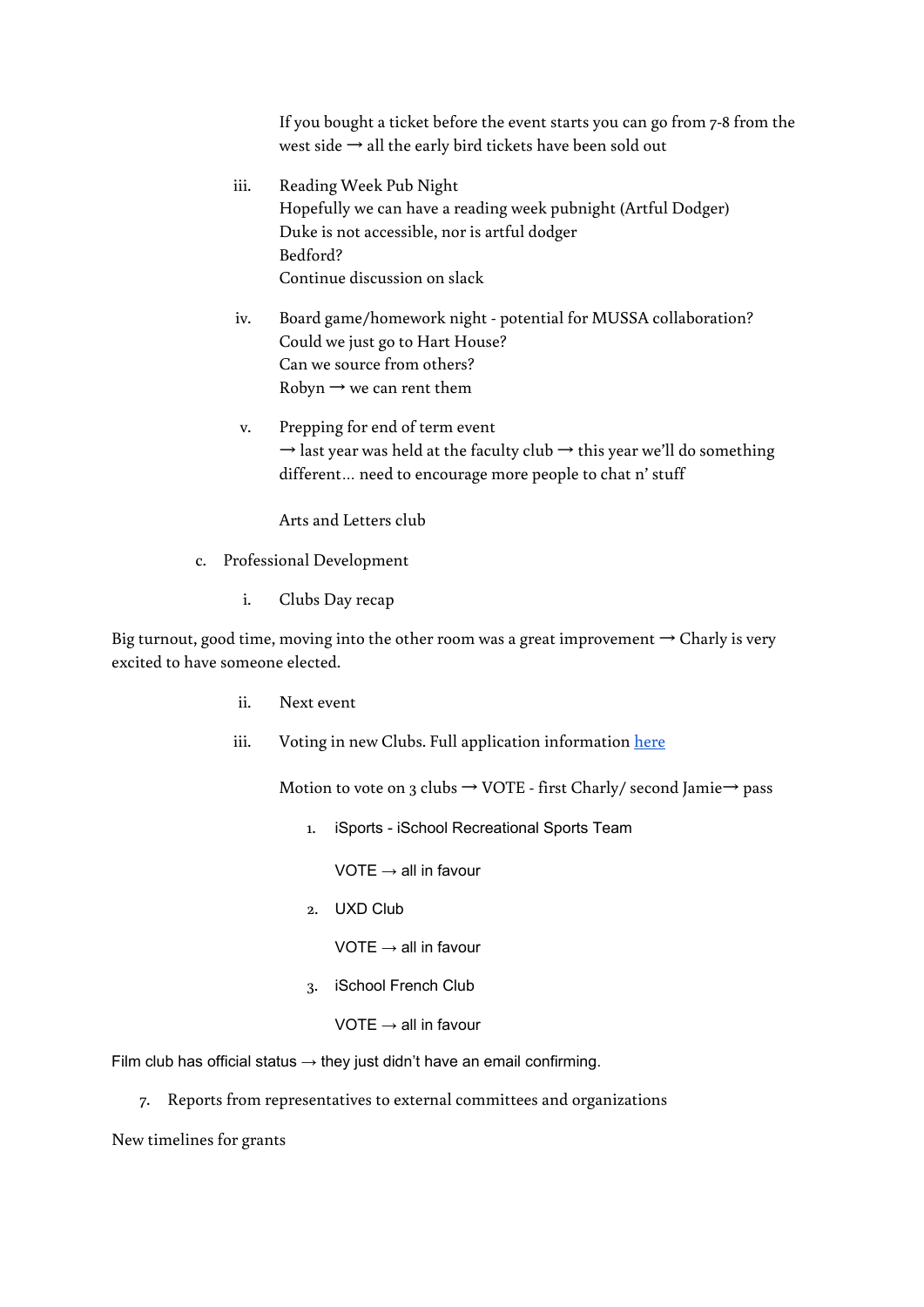If you bought a ticket before the event starts you can go from 7-8 from the west side  $\rightarrow$  all the early bird tickets have been sold out

- iii. Reading Week Pub Night Hopefully we can have a reading week pubnight (Artful Dodger) Duke is not accessible, nor is artful dodger Bedford? Continue discussion on slack
- iv. Board game/homework night potential for MUSSA collaboration? Could we just go to Hart House? Can we source from others? Robyn  $\rightarrow$  we can rent them
- v. Prepping for end of term event  $\rightarrow$  last year was held at the faculty club  $\rightarrow$  this year we'll do something different… need to encourage more people to chat n' stuff

Arts and Letters club

- c. Professional Development
	- i. Clubs Day recap

Big turnout, good time, moving into the other room was a great improvement  $\rightarrow$  Charly is very excited to have someone elected.

- ii. Next event
- iii. Voting in new Clubs. Full application information [here](https://drive.google.com/open?id=1C4I7g-dqW27PrXFFjcQ5vixWkg25rrb6-jcxm3MrqhI)

Motion to vote on 3 clubs  $\rightarrow$  VOTE - first Charly/ second Jamie $\rightarrow$  pass

1. iSports - iSchool Recreational Sports Team

 $VOTE \rightarrow all$  in favour

2. UXD Club

VOTE  $\rightarrow$  all in favour

3. iSchool French Club

VOTE  $\rightarrow$  all in favour

Film club has official status  $\rightarrow$  they just didn't have an email confirming.

7. Reports from representatives to external committees and organizations

New timelines for grants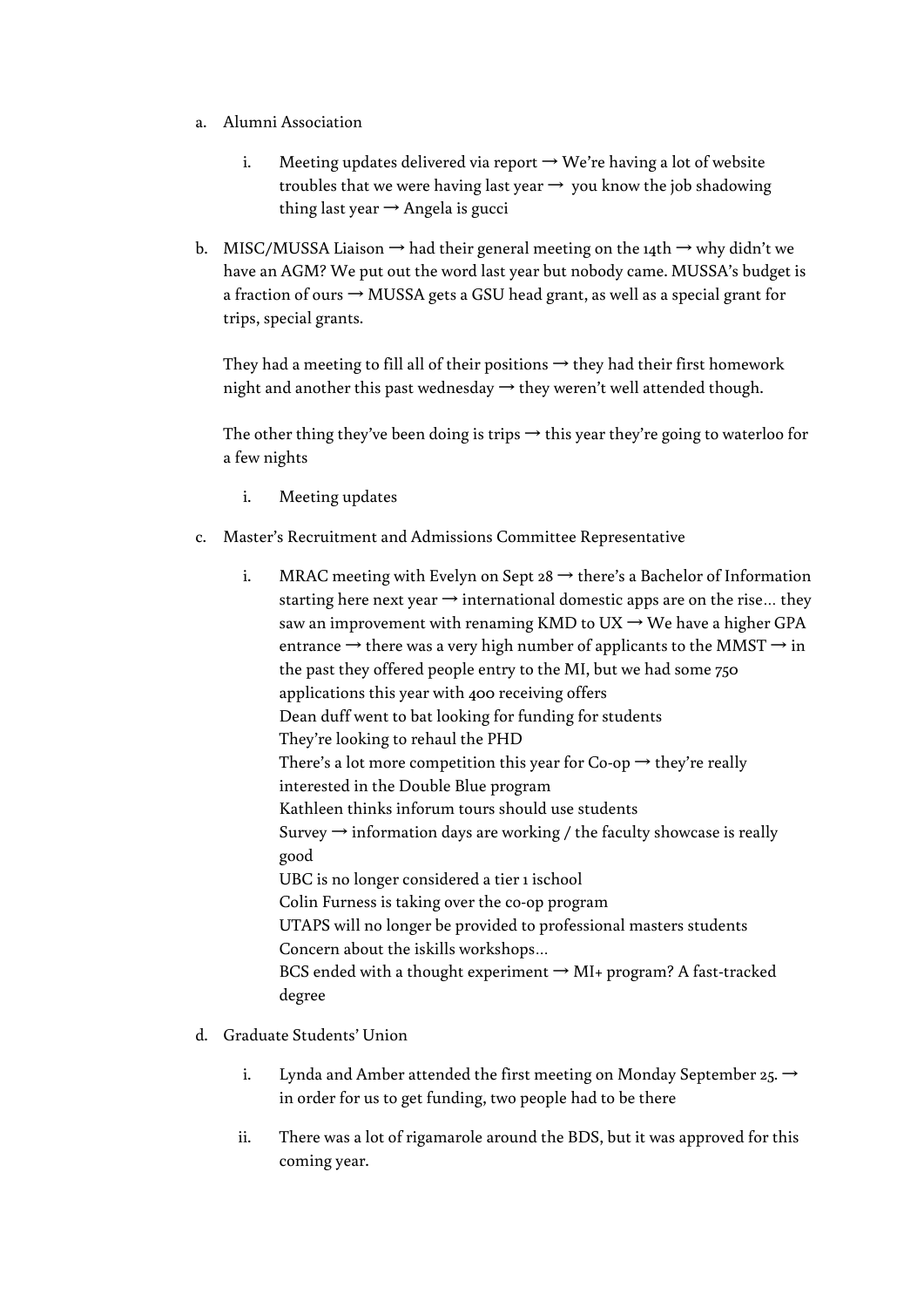- a. Alumni Association
	- i. Meeting updates delivered via report  $\rightarrow$  We're having a lot of website troubles that we were having last year  $\rightarrow$  you know the job shadowing thing last year  $\rightarrow$  Angela is gucci
- b. MISC/MUSSA Liaison  $\rightarrow$  had their general meeting on the 14th  $\rightarrow$  why didn't we have an AGM? We put out the word last year but nobody came. MUSSA's budget is a fraction of ours  $\rightarrow$  MUSSA gets a GSU head grant, as well as a special grant for trips, special grants.

They had a meeting to fill all of their positions  $\rightarrow$  they had their first homework night and another this past wednesday  $\rightarrow$  they weren't well attended though.

The other thing they've been doing is trips  $\rightarrow$  this year they're going to waterloo for a few nights

- i. Meeting updates
- c. Master's Recruitment and Admissions Committee Representative
	- i. MRAC meeting with Evelyn on Sept  $28 \rightarrow$  there's a Bachelor of Information starting here next year  $\rightarrow$  international domestic apps are on the rise... they saw an improvement with renaming KMD to UX  $\rightarrow$  We have a higher GPA entrance  $\rightarrow$  there was a very high number of applicants to the MMST  $\rightarrow$  in the past they offered people entry to the MI, but we had some 750 applications this year with 400 receiving offers Dean duff went to bat looking for funding for students They're looking to rehaul the PHD There's a lot more competition this year for Co-op  $\rightarrow$  they're really interested in the Double Blue program Kathleen thinks inforum tours should use students Survey  $\rightarrow$  information days are working / the faculty showcase is really good UBC is no longer considered a tier 1 ischool Colin Furness is taking over the co-op program UTAPS will no longer be provided to professional masters students Concern about the iskills workshops… BCS ended with a thought experiment  $\rightarrow$  MI+ program? A fast-tracked degree
- d. Graduate Students' Union
	- i. Lynda and Amber attended the first meeting on Monday September 25.  $\rightarrow$ in order for us to get funding, two people had to be there
	- ii. There was a lot of rigamarole around the BDS, but it was approved for this coming year.